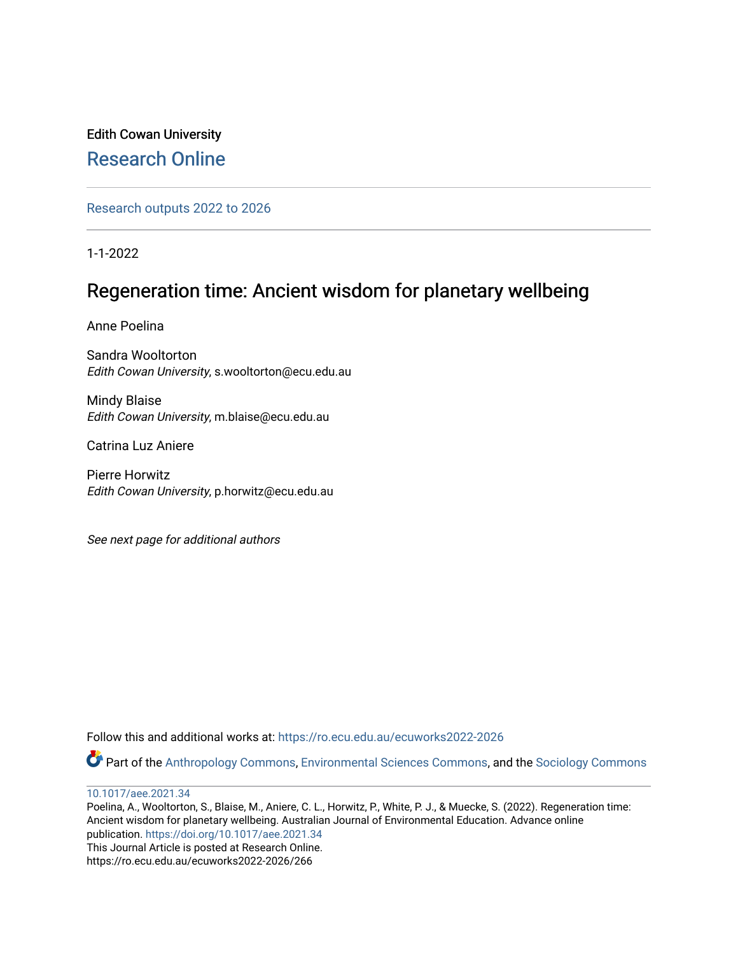## Edith Cowan University [Research Online](https://ro.ecu.edu.au/)

[Research outputs 2022 to 2026](https://ro.ecu.edu.au/ecuworks2022-2026) 

1-1-2022

# Regeneration time: Ancient wisdom for planetary wellbeing

Anne Poelina

Sandra Wooltorton Edith Cowan University, s.wooltorton@ecu.edu.au

Mindy Blaise Edith Cowan University, m.blaise@ecu.edu.au

Catrina Luz Aniere

Pierre Horwitz Edith Cowan University, p.horwitz@ecu.edu.au

See next page for additional authors

Follow this and additional works at: [https://ro.ecu.edu.au/ecuworks2022-2026](https://ro.ecu.edu.au/ecuworks2022-2026?utm_source=ro.ecu.edu.au%2Fecuworks2022-2026%2F266&utm_medium=PDF&utm_campaign=PDFCoverPages)

Part of the [Anthropology Commons](http://network.bepress.com/hgg/discipline/318?utm_source=ro.ecu.edu.au%2Fecuworks2022-2026%2F266&utm_medium=PDF&utm_campaign=PDFCoverPages), [Environmental Sciences Commons,](http://network.bepress.com/hgg/discipline/167?utm_source=ro.ecu.edu.au%2Fecuworks2022-2026%2F266&utm_medium=PDF&utm_campaign=PDFCoverPages) and the [Sociology Commons](http://network.bepress.com/hgg/discipline/416?utm_source=ro.ecu.edu.au%2Fecuworks2022-2026%2F266&utm_medium=PDF&utm_campaign=PDFCoverPages) 

[10.1017/aee.2021.34](http://dx.doi.org/10.1017/aee.2021.34) 

Poelina, A., Wooltorton, S., Blaise, M., Aniere, C. L., Horwitz, P., White, P. J., & Muecke, S. (2022). Regeneration time: Ancient wisdom for planetary wellbeing. Australian Journal of Environmental Education. Advance online publication. <https://doi.org/10.1017/aee.2021.34> This Journal Article is posted at Research Online. https://ro.ecu.edu.au/ecuworks2022-2026/266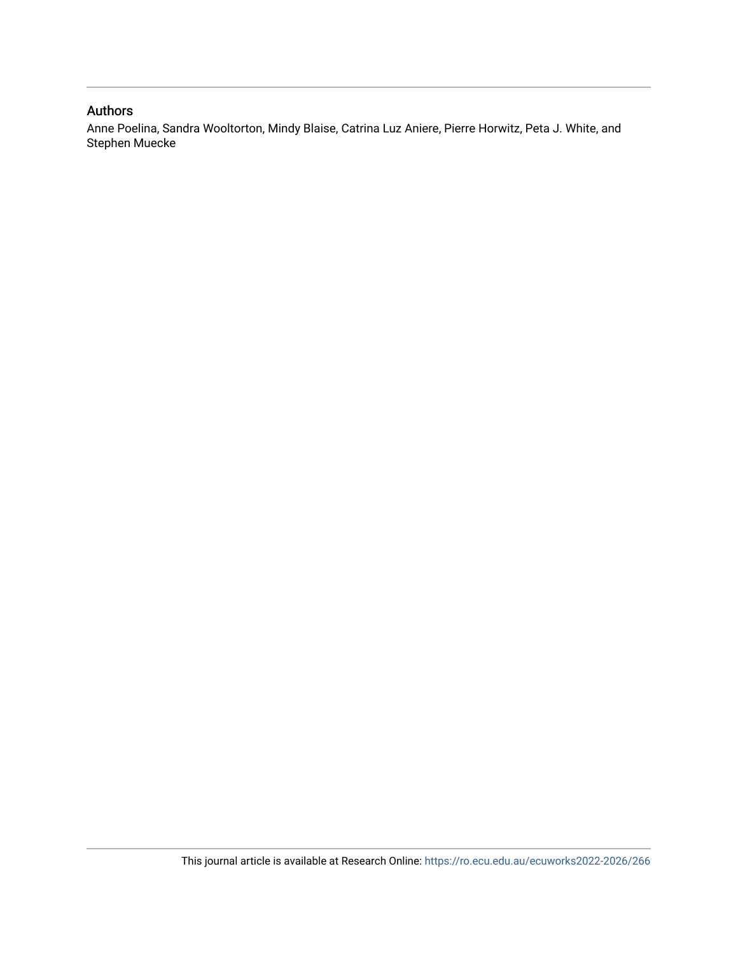## Authors

Anne Poelina, Sandra Wooltorton, Mindy Blaise, Catrina Luz Aniere, Pierre Horwitz, Peta J. White, and Stephen Muecke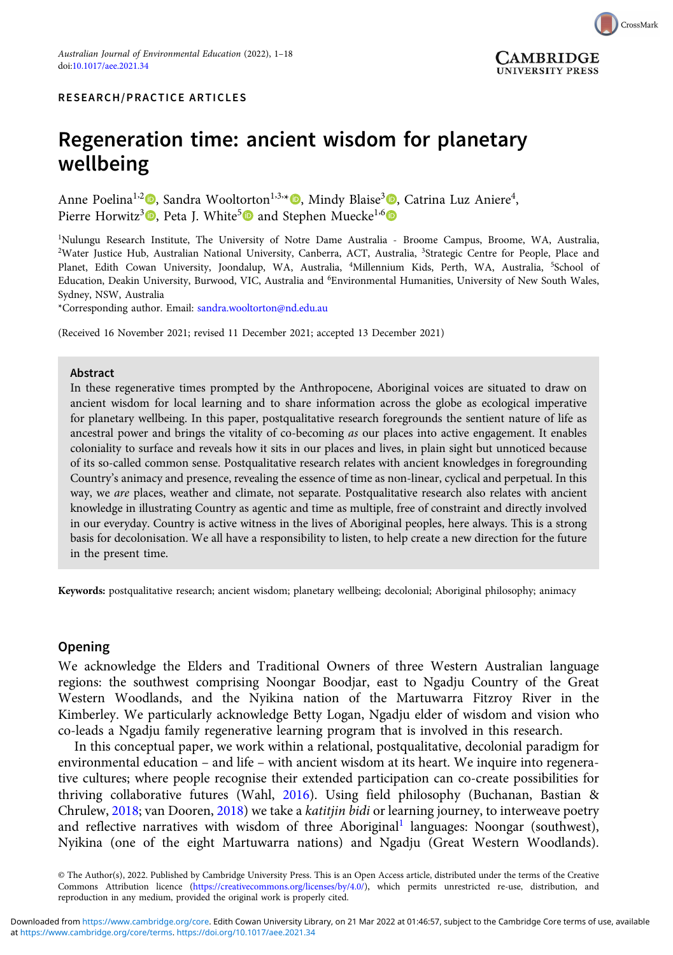

RESEARCH/PRACTICE ARTICLES

## Regeneration time: ancient wisdom for planetary wellbeing

Anne Poelina<sup>1[,](https://orcid.org/0000-0003-2476-9407)2</sup>®, Sandra Wooltorton<sup>1,3,</sup>\*®, Mindy Blaise<sup>3</sup>®, Catrina Luz Aniere<sup>4</sup>, Pierre Horwitz<sup>3</sup><sup>®</sup>, Peta J. White<sup>5</sup><sup>®</sup> and Stephen Muecke<sup>1,6</sup><sup>®</sup>

1 Nulungu Research Institute, The University of Notre Dame Australia - Broome Campus, Broome, WA, Australia, <sup>2</sup>Water Justice Hub, Australian National University, Canberra, ACT, Australia, <sup>3</sup>Strategic Centre for People, Place and Planet, Edith Cowan University, Joondalup, WA, Australia, <sup>4</sup>Millennium Kids, Perth, WA, Australia, <sup>5</sup>School of Education, Deakin University, Burwood, VIC, Australia and <sup>6</sup> Environmental Humanities, University of New South Wales, Sydney, NSW, Australia

\*Corresponding author. Email: [sandra.wooltorton@nd.edu.au](mailto:sandra.wooltorton@nd.edu.au)

(Received 16 November 2021; revised 11 December 2021; accepted 13 December 2021)

#### Abstract

In these regenerative times prompted by the Anthropocene, Aboriginal voices are situated to draw on ancient wisdom for local learning and to share information across the globe as ecological imperative for planetary wellbeing. In this paper, postqualitative research foregrounds the sentient nature of life as ancestral power and brings the vitality of co-becoming as our places into active engagement. It enables coloniality to surface and reveals how it sits in our places and lives, in plain sight but unnoticed because of its so-called common sense. Postqualitative research relates with ancient knowledges in foregrounding Country's animacy and presence, revealing the essence of time as non-linear, cyclical and perpetual. In this way, we are places, weather and climate, not separate. Postqualitative research also relates with ancient knowledge in illustrating Country as agentic and time as multiple, free of constraint and directly involved in our everyday. Country is active witness in the lives of Aboriginal peoples, here always. This is a strong basis for decolonisation. We all have a responsibility to listen, to help create a new direction for the future in the present time.

Keywords: postqualitative research; ancient wisdom; planetary wellbeing; decolonial; Aboriginal philosophy; animacy

## **Opening**

We acknowledge the Elders and Traditional Owners of three Western Australian language regions: the southwest comprising Noongar Boodjar, east to Ngadju Country of the Great Western Woodlands, and the Nyikina nation of the Martuwarra Fitzroy River in the Kimberley. We particularly acknowledge Betty Logan, Ngadju elder of wisdom and vision who co-leads a Ngadju family regenerative learning program that is involved in this research.

In this conceptual paper, we work within a relational, postqualitative, decolonial paradigm for environmental education – and life – with ancient wisdom at its heart. We inquire into regenerative cultures; where people recognise their extended participation can co-create possibilities for thriving collaborative futures (Wahl, [2016\)](#page-17-0). Using field philosophy (Buchanan, Bastian & Chrulew, [2018;](#page-16-0) van Dooren, [2018\)](#page-17-0) we take a katitjin bidi or learning journey, to interweave poetry and reflective narratives with wisdom of three Aboriginal<sup>[1](#page-16-0)</sup> languages: Noongar (southwest), Nyikina (one of the eight Martuwarra nations) and Ngadju (Great Western Woodlands).

<sup>©</sup> The Author(s), 2022. Published by Cambridge University Press. This is an Open Access article, distributed under the terms of the Creative Commons Attribution licence (<https://creativecommons.org/licenses/by/4.0/>), which permits unrestricted re-use, distribution, and reproduction in any medium, provided the original work is properly cited.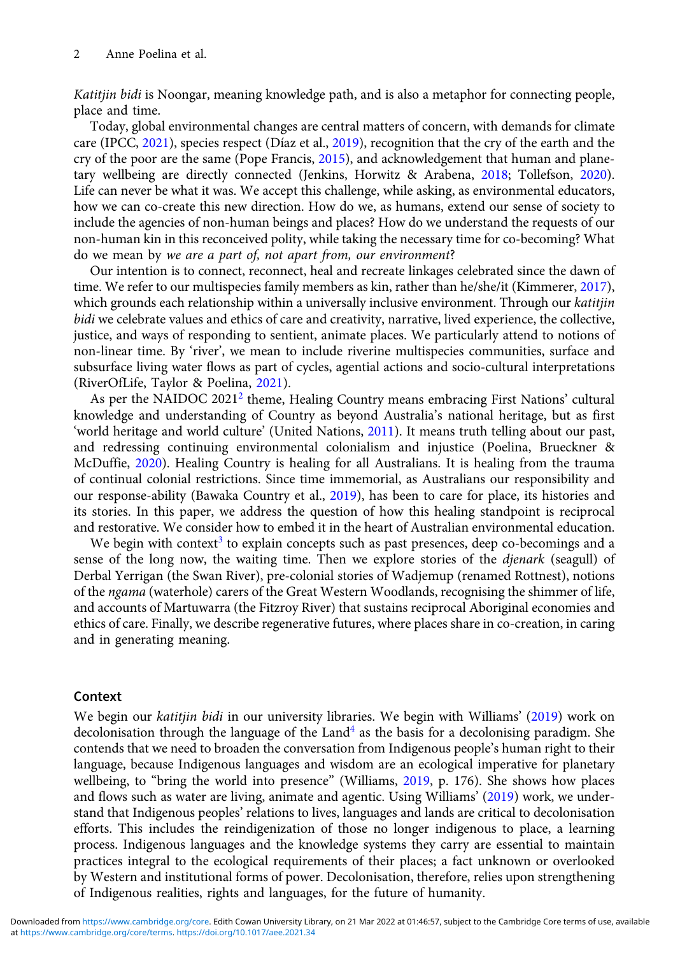Katitjin bidi is Noongar, meaning knowledge path, and is also a metaphor for connecting people, place and time.

Today, global environmental changes are central matters of concern, with demands for climate care (IPCC, [2021\)](#page-18-0), species respect (Díaz et al., [2019](#page-16-0)), recognition that the cry of the earth and the cry of the poor are the same (Pope Francis, [2015](#page-16-0)), and acknowledgement that human and planetary wellbeing are directly connected (Jenkins, Horwitz & Arabena, [2018](#page-16-0); Tollefson, [2020\)](#page-17-0). Life can never be what it was. We accept this challenge, while asking, as environmental educators, how we can co-create this new direction. How do we, as humans, extend our sense of society to include the agencies of non-human beings and places? How do we understand the requests of our non-human kin in this reconceived polity, while taking the necessary time for co-becoming? What do we mean by we are a part of, not apart from, our environment?

Our intention is to connect, reconnect, heal and recreate linkages celebrated since the dawn of time. We refer to our multispecies family members as kin, rather than he/she/it (Kimmerer, [2017\)](#page-17-0), which grounds each relationship within a universally inclusive environment. Through our katitjin bidi we celebrate values and ethics of care and creativity, narrative, lived experience, the collective, justice, and ways of responding to sentient, animate places. We particularly attend to notions of non-linear time. By 'river', we mean to include riverine multispecies communities, surface and subsurface living water flows as part of cycles, agential actions and socio-cultural interpretations (RiverOfLife, Taylor & Poelina, [2021](#page-17-0)).

As per the NAIDOC [2](#page-16-0)021<sup>2</sup> theme, Healing Country means embracing First Nations' cultural knowledge and understanding of Country as beyond Australia's national heritage, but as first 'world heritage and world culture' (United Nations, [2011](#page-18-0)). It means truth telling about our past, and redressing continuing environmental colonialism and injustice (Poelina, Brueckner & McDuffie, [2020\)](#page-17-0). Healing Country is healing for all Australians. It is healing from the trauma of continual colonial restrictions. Since time immemorial, as Australians our responsibility and our response-ability (Bawaka Country et al., [2019](#page-17-0)), has been to care for place, its histories and its stories. In this paper, we address the question of how this healing standpoint is reciprocal and restorative. We consider how to embed it in the heart of Australian environmental education.

We begin with context<sup>[3](#page-16-0)</sup> to explain concepts such as past presences, deep co-becomings and a sense of the long now, the waiting time. Then we explore stories of the *djenark* (seagull) of Derbal Yerrigan (the Swan River), pre-colonial stories of Wadjemup (renamed Rottnest), notions of the ngama (waterhole) carers of the Great Western Woodlands, recognising the shimmer of life, and accounts of Martuwarra (the Fitzroy River) that sustains reciprocal Aboriginal economies and ethics of care. Finally, we describe regenerative futures, where places share in co-creation, in caring and in generating meaning.

### Context

We begin our katitjin bidi in our university libraries. We begin with Williams' [\(2019\)](#page-18-0) work on decolonisation through the language of the  $Land<sup>4</sup>$  $Land<sup>4</sup>$  $Land<sup>4</sup>$  as the basis for a decolonising paradigm. She contends that we need to broaden the conversation from Indigenous people's human right to their language, because Indigenous languages and wisdom are an ecological imperative for planetary wellbeing, to "bring the world into presence" (Williams, [2019](#page-18-0), p. 176). She shows how places and flows such as water are living, animate and agentic. Using Williams' [\(2019\)](#page-18-0) work, we understand that Indigenous peoples' relations to lives, languages and lands are critical to decolonisation efforts. This includes the reindigenization of those no longer indigenous to place, a learning process. Indigenous languages and the knowledge systems they carry are essential to maintain practices integral to the ecological requirements of their places; a fact unknown or overlooked by Western and institutional forms of power. Decolonisation, therefore, relies upon strengthening of Indigenous realities, rights and languages, for the future of humanity.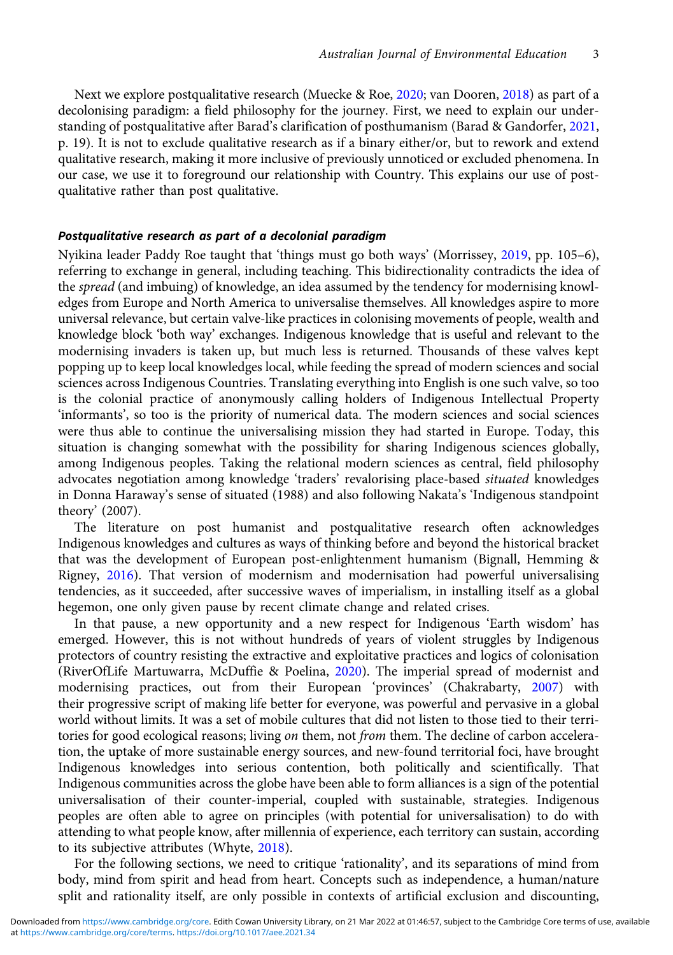Next we explore postqualitative research (Muecke & Roe, [2020](#page-17-0); van Dooren, [2018](#page-17-0)) as part of a decolonising paradigm: a field philosophy for the journey. First, we need to explain our understanding of postqualitative after Barad's clarification of posthumanism (Barad & Gandorfer, [2021,](#page-16-0) p. 19). It is not to exclude qualitative research as if a binary either/or, but to rework and extend qualitative research, making it more inclusive of previously unnoticed or excluded phenomena. In our case, we use it to foreground our relationship with Country. This explains our use of postqualitative rather than post qualitative.

### Postqualitative research as part of a decolonial paradigm

Nyikina leader Paddy Roe taught that 'things must go both ways' (Morrissey, [2019,](#page-17-0) pp. 105–6), referring to exchange in general, including teaching. This bidirectionality contradicts the idea of the *spread* (and imbuing) of knowledge, an idea assumed by the tendency for modernising knowledges from Europe and North America to universalise themselves. All knowledges aspire to more universal relevance, but certain valve-like practices in colonising movements of people, wealth and knowledge block 'both way' exchanges. Indigenous knowledge that is useful and relevant to the modernising invaders is taken up, but much less is returned. Thousands of these valves kept popping up to keep local knowledges local, while feeding the spread of modern sciences and social sciences across Indigenous Countries. Translating everything into English is one such valve, so too is the colonial practice of anonymously calling holders of Indigenous Intellectual Property 'informants', so too is the priority of numerical data. The modern sciences and social sciences were thus able to continue the universalising mission they had started in Europe. Today, this situation is changing somewhat with the possibility for sharing Indigenous sciences globally, among Indigenous peoples. Taking the relational modern sciences as central, field philosophy advocates negotiation among knowledge 'traders' revalorising place-based *situated* knowledges in Donna Haraway's sense of situated (1988) and also following Nakata's 'Indigenous standpoint theory' (2007).

The literature on post humanist and postqualitative research often acknowledges Indigenous knowledges and cultures as ways of thinking before and beyond the historical bracket that was the development of European post-enlightenment humanism (Bignall, Hemming & Rigney, [2016\)](#page-16-0). That version of modernism and modernisation had powerful universalising tendencies, as it succeeded, after successive waves of imperialism, in installing itself as a global hegemon, one only given pause by recent climate change and related crises.

In that pause, a new opportunity and a new respect for Indigenous 'Earth wisdom' has emerged. However, this is not without hundreds of years of violent struggles by Indigenous protectors of country resisting the extractive and exploitative practices and logics of colonisation (RiverOfLife Martuwarra, McDuffie & Poelina, [2020](#page-17-0)). The imperial spread of modernist and modernising practices, out from their European 'provinces' (Chakrabarty, [2007](#page-16-0)) with their progressive script of making life better for everyone, was powerful and pervasive in a global world without limits. It was a set of mobile cultures that did not listen to those tied to their territories for good ecological reasons; living on them, not from them. The decline of carbon acceleration, the uptake of more sustainable energy sources, and new-found territorial foci, have brought Indigenous knowledges into serious contention, both politically and scientifically. That Indigenous communities across the globe have been able to form alliances is a sign of the potential universalisation of their counter-imperial, coupled with sustainable, strategies. Indigenous peoples are often able to agree on principles (with potential for universalisation) to do with attending to what people know, after millennia of experience, each territory can sustain, according to its subjective attributes (Whyte, [2018\)](#page-18-0).

For the following sections, we need to critique 'rationality', and its separations of mind from body, mind from spirit and head from heart. Concepts such as independence, a human/nature split and rationality itself, are only possible in contexts of artificial exclusion and discounting,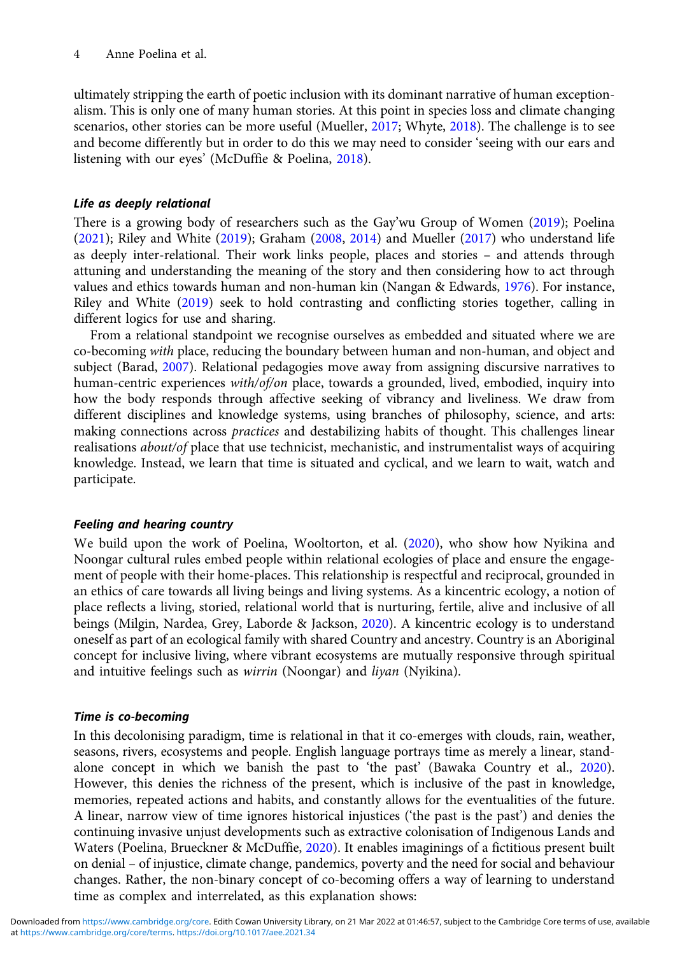ultimately stripping the earth of poetic inclusion with its dominant narrative of human exceptionalism. This is only one of many human stories. At this point in species loss and climate changing scenarios, other stories can be more useful (Mueller, [2017;](#page-17-0) Whyte, [2018](#page-18-0)). The challenge is to see and become differently but in order to do this we may need to consider 'seeing with our ears and listening with our eyes' (McDuffie & Poelina, [2018](#page-17-0)).

## Life as deeply relational

There is a growing body of researchers such as the Gay'wu Group of Women [\(2019\)](#page-18-0); Poelina ([2021](#page-17-0)); Riley and White ([2019](#page-17-0)); Graham [\(2008,](#page-16-0) [2014](#page-16-0)) and Mueller ([2017](#page-17-0)) who understand life as deeply inter-relational. Their work links people, places and stories – and attends through attuning and understanding the meaning of the story and then considering how to act through values and ethics towards human and non-human kin (Nangan & Edwards, [1976](#page-17-0)). For instance, Riley and White [\(2019\)](#page-17-0) seek to hold contrasting and conflicting stories together, calling in different logics for use and sharing.

From a relational standpoint we recognise ourselves as embedded and situated where we are co-becoming with place, reducing the boundary between human and non-human, and object and subject (Barad, [2007\)](#page-16-0). Relational pedagogies move away from assigning discursive narratives to human-centric experiences with/of/on place, towards a grounded, lived, embodied, inquiry into how the body responds through affective seeking of vibrancy and liveliness. We draw from different disciplines and knowledge systems, using branches of philosophy, science, and arts: making connections across practices and destabilizing habits of thought. This challenges linear realisations *about/of* place that use technicist, mechanistic, and instrumentalist ways of acquiring knowledge. Instead, we learn that time is situated and cyclical, and we learn to wait, watch and participate.

## Feeling and hearing country

We build upon the work of Poelina, Wooltorton, et al. [\(2020\)](#page-17-0), who show how Nyikina and Noongar cultural rules embed people within relational ecologies of place and ensure the engagement of people with their home-places. This relationship is respectful and reciprocal, grounded in an ethics of care towards all living beings and living systems. As a kincentric ecology, a notion of place reflects a living, storied, relational world that is nurturing, fertile, alive and inclusive of all beings (Milgin, Nardea, Grey, Laborde & Jackson, [2020\)](#page-17-0). A kincentric ecology is to understand oneself as part of an ecological family with shared Country and ancestry. Country is an Aboriginal concept for inclusive living, where vibrant ecosystems are mutually responsive through spiritual and intuitive feelings such as *wirrin* (Noongar) and *liyan* (Nyikina).

## Time is co-becoming

In this decolonising paradigm, time is relational in that it co-emerges with clouds, rain, weather, seasons, rivers, ecosystems and people. English language portrays time as merely a linear, standalone concept in which we banish the past to 'the past' (Bawaka Country et al., [2020\)](#page-18-0). However, this denies the richness of the present, which is inclusive of the past in knowledge, memories, repeated actions and habits, and constantly allows for the eventualities of the future. A linear, narrow view of time ignores historical injustices ('the past is the past') and denies the continuing invasive unjust developments such as extractive colonisation of Indigenous Lands and Waters (Poelina, Brueckner & McDuffie, [2020\)](#page-17-0). It enables imaginings of a fictitious present built on denial – of injustice, climate change, pandemics, poverty and the need for social and behaviour changes. Rather, the non-binary concept of co-becoming offers a way of learning to understand time as complex and interrelated, as this explanation shows: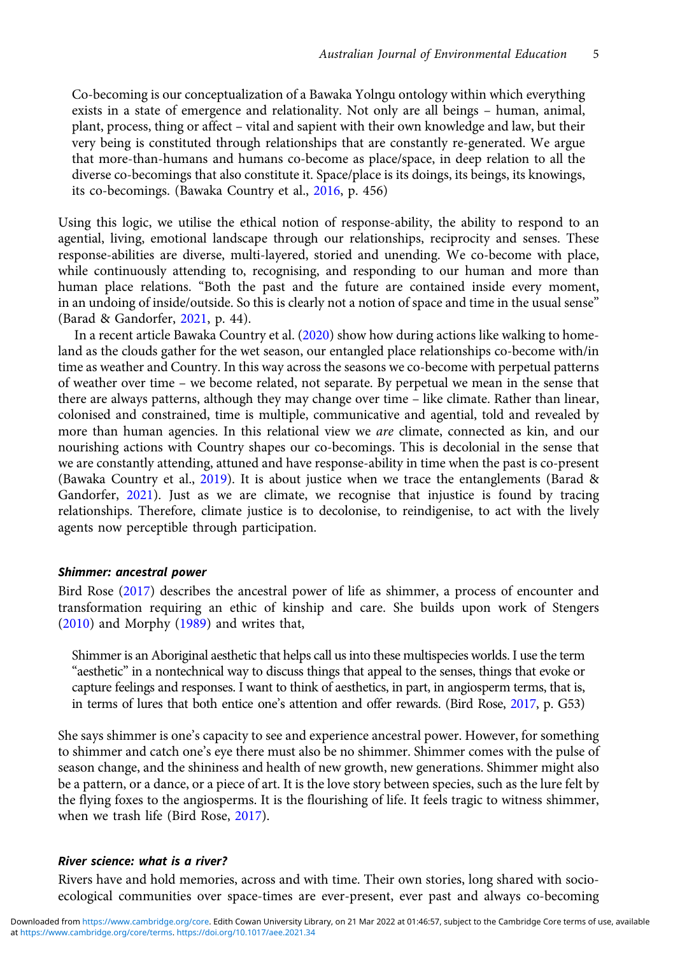Co-becoming is our conceptualization of a Bawaka Yolngu ontology within which everything exists in a state of emergence and relationality. Not only are all beings – human, animal, plant, process, thing or affect – vital and sapient with their own knowledge and law, but their very being is constituted through relationships that are constantly re-generated. We argue that more-than-humans and humans co-become as place/space, in deep relation to all the diverse co-becomings that also constitute it. Space/place is its doings, its beings, its knowings, its co-becomings. (Bawaka Country et al., [2016](#page-18-0), p. 456)

Using this logic, we utilise the ethical notion of response-ability, the ability to respond to an agential, living, emotional landscape through our relationships, reciprocity and senses. These response-abilities are diverse, multi-layered, storied and unending. We co-become with place, while continuously attending to, recognising, and responding to our human and more than human place relations. "Both the past and the future are contained inside every moment, in an undoing of inside/outside. So this is clearly not a notion of space and time in the usual sense" (Barad & Gandorfer, [2021,](#page-16-0) p. 44).

In a recent article Bawaka Country et al. ([2020](#page-18-0)) show how during actions like walking to homeland as the clouds gather for the wet season, our entangled place relationships co-become with/in time as weather and Country. In this way across the seasons we co-become with perpetual patterns of weather over time – we become related, not separate. By perpetual we mean in the sense that there are always patterns, although they may change over time – like climate. Rather than linear, colonised and constrained, time is multiple, communicative and agential, told and revealed by more than human agencies. In this relational view we are climate, connected as kin, and our nourishing actions with Country shapes our co-becomings. This is decolonial in the sense that we are constantly attending, attuned and have response-ability in time when the past is co-present (Bawaka Country et al., [2019](#page-17-0)). It is about justice when we trace the entanglements (Barad & Gandorfer, [2021](#page-16-0)). Just as we are climate, we recognise that injustice is found by tracing relationships. Therefore, climate justice is to decolonise, to reindigenise, to act with the lively agents now perceptible through participation.

#### Shimmer: ancestral power

Bird Rose [\(2017](#page-16-0)) describes the ancestral power of life as shimmer, a process of encounter and transformation requiring an ethic of kinship and care. She builds upon work of Stengers [\(2010\)](#page-17-0) and Morphy ([1989](#page-17-0)) and writes that,

Shimmer is an Aboriginal aesthetic that helps call us into these multispecies worlds. I use the term "aesthetic" in a nontechnical way to discuss things that appeal to the senses, things that evoke or capture feelings and responses. I want to think of aesthetics, in part, in angiosperm terms, that is, in terms of lures that both entice one's attention and offer rewards. (Bird Rose, [2017,](#page-16-0) p. G53)

She says shimmer is one's capacity to see and experience ancestral power. However, for something to shimmer and catch one's eye there must also be no shimmer. Shimmer comes with the pulse of season change, and the shininess and health of new growth, new generations. Shimmer might also be a pattern, or a dance, or a piece of art. It is the love story between species, such as the lure felt by the flying foxes to the angiosperms. It is the flourishing of life. It feels tragic to witness shimmer, when we trash life (Bird Rose, [2017\)](#page-16-0).

## River science: what is a river?

Rivers have and hold memories, across and with time. Their own stories, long shared with socioecological communities over space-times are ever-present, ever past and always co-becoming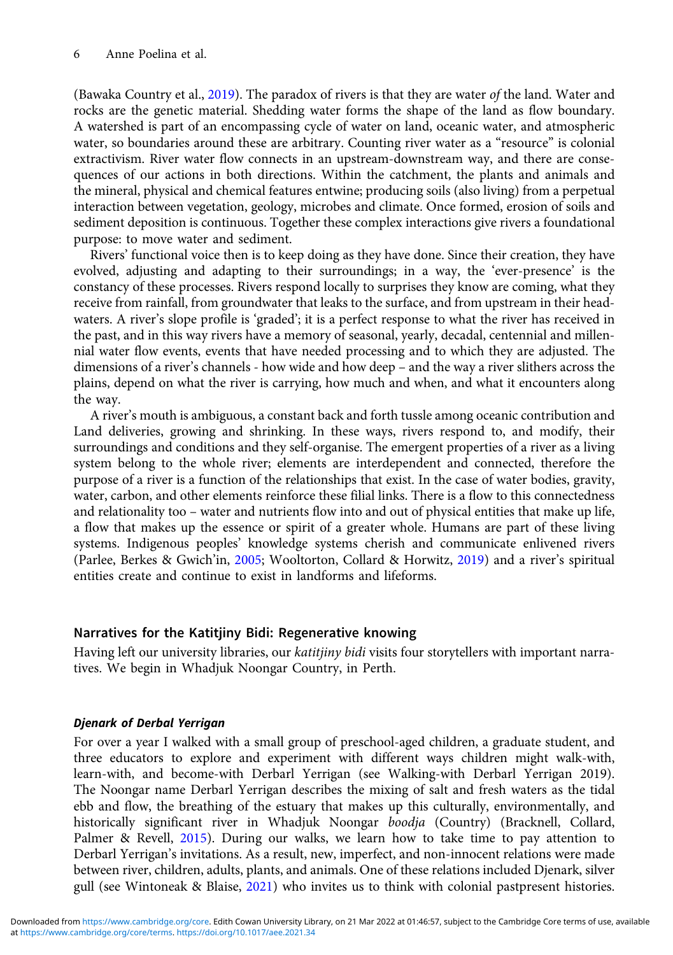(Bawaka Country et al., [2019](#page-17-0)). The paradox of rivers is that they are water of the land. Water and rocks are the genetic material. Shedding water forms the shape of the land as flow boundary. A watershed is part of an encompassing cycle of water on land, oceanic water, and atmospheric water, so boundaries around these are arbitrary. Counting river water as a "resource" is colonial extractivism. River water flow connects in an upstream-downstream way, and there are consequences of our actions in both directions. Within the catchment, the plants and animals and the mineral, physical and chemical features entwine; producing soils (also living) from a perpetual interaction between vegetation, geology, microbes and climate. Once formed, erosion of soils and sediment deposition is continuous. Together these complex interactions give rivers a foundational purpose: to move water and sediment.

Rivers' functional voice then is to keep doing as they have done. Since their creation, they have evolved, adjusting and adapting to their surroundings; in a way, the 'ever-presence' is the constancy of these processes. Rivers respond locally to surprises they know are coming, what they receive from rainfall, from groundwater that leaks to the surface, and from upstream in their headwaters. A river's slope profile is 'graded'; it is a perfect response to what the river has received in the past, and in this way rivers have a memory of seasonal, yearly, decadal, centennial and millennial water flow events, events that have needed processing and to which they are adjusted. The dimensions of a river's channels - how wide and how deep – and the way a river slithers across the plains, depend on what the river is carrying, how much and when, and what it encounters along the way.

A river's mouth is ambiguous, a constant back and forth tussle among oceanic contribution and Land deliveries, growing and shrinking. In these ways, rivers respond to, and modify, their surroundings and conditions and they self-organise. The emergent properties of a river as a living system belong to the whole river; elements are interdependent and connected, therefore the purpose of a river is a function of the relationships that exist. In the case of water bodies, gravity, water, carbon, and other elements reinforce these filial links. There is a flow to this connectedness and relationality too – water and nutrients flow into and out of physical entities that make up life, a flow that makes up the essence or spirit of a greater whole. Humans are part of these living systems. Indigenous peoples' knowledge systems cherish and communicate enlivened rivers (Parlee, Berkes & Gwich'in, [2005;](#page-17-0) Wooltorton, Collard & Horwitz, [2019](#page-18-0)) and a river's spiritual entities create and continue to exist in landforms and lifeforms.

## Narratives for the Katitjiny Bidi: Regenerative knowing

Having left our university libraries, our katitiiny bidi visits four storytellers with important narratives. We begin in Whadjuk Noongar Country, in Perth.

### Djenark of Derbal Yerrigan

For over a year I walked with a small group of preschool-aged children, a graduate student, and three educators to explore and experiment with different ways children might walk-with, learn-with, and become-with Derbarl Yerrigan (see Walking-with Derbarl Yerrigan 2019). The Noongar name Derbarl Yerrigan describes the mixing of salt and fresh waters as the tidal ebb and flow, the breathing of the estuary that makes up this culturally, environmentally, and historically significant river in Whadjuk Noongar boodja (Country) (Bracknell, Collard, Palmer & Revell, [2015\)](#page-16-0). During our walks, we learn how to take time to pay attention to Derbarl Yerrigan's invitations. As a result, new, imperfect, and non-innocent relations were made between river, children, adults, plants, and animals. One of these relations included Djenark, silver gull (see Wintoneak & Blaise, [2021](#page-18-0)) who invites us to think with colonial pastpresent histories.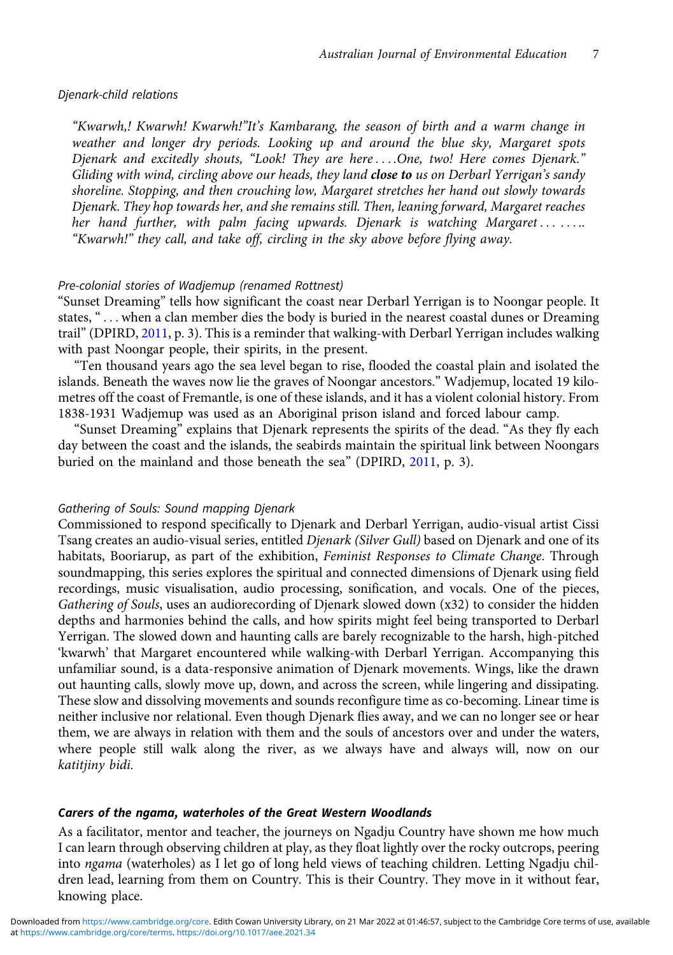#### Djenark-child relations

"Kwarwh,! Kwarwh! Kwarwh!"It's Kambarang, the season of birth and a warm change in weather and longer dry periods. Looking up and around the blue sky, Margaret spots Djenark and excitedly shouts, "Look! They are here ....One, two! Here comes Djenark." Gliding with wind, circling above our heads, they land close to us on Derbarl Yerrigan's sandy shoreline. Stopping, and then crouching low, Margaret stretches her hand out slowly towards Djenark. They hop towards her, and she remains still. Then, leaning forward, Margaret reaches her hand further, with palm facing upwards. Djenark is watching Margaret ....... "Kwarwh!" they call, and take off, circling in the sky above before flying away.

## Pre-colonial stories of Wadjemup (renamed Rottnest)

"Sunset Dreaming" tells how significant the coast near Derbarl Yerrigan is to Noongar people. It states, "... when a clan member dies the body is buried in the nearest coastal dunes or Dreaming trail" (DPIRD, [2011](#page-18-0), p. 3). This is a reminder that walking-with Derbarl Yerrigan includes walking with past Noongar people, their spirits, in the present.

"Ten thousand years ago the sea level began to rise, flooded the coastal plain and isolated the islands. Beneath the waves now lie the graves of Noongar ancestors." Wadjemup, located 19 kilometres off the coast of Fremantle, is one of these islands, and it has a violent colonial history. From 1838-1931 Wadjemup was used as an Aboriginal prison island and forced labour camp.

"Sunset Dreaming" explains that Djenark represents the spirits of the dead. "As they fly each day between the coast and the islands, the seabirds maintain the spiritual link between Noongars buried on the mainland and those beneath the sea" (DPIRD, [2011,](#page-18-0) p. 3).

#### Gathering of Souls: Sound mapping Djenark

Commissioned to respond specifically to Djenark and Derbarl Yerrigan, audio-visual artist Cissi Tsang creates an audio-visual series, entitled *Djenark (Silver Gull)* based on Djenark and one of its habitats, Booriarup, as part of the exhibition, Feminist Responses to Climate Change. Through soundmapping, this series explores the spiritual and connected dimensions of Djenark using field recordings, music visualisation, audio processing, sonification, and vocals. One of the pieces, Gathering of Souls, uses an audiorecording of Djenark slowed down (x32) to consider the hidden depths and harmonies behind the calls, and how spirits might feel being transported to Derbarl Yerrigan. The slowed down and haunting calls are barely recognizable to the harsh, high-pitched 'kwarwh' that Margaret encountered while walking-with Derbarl Yerrigan. Accompanying this unfamiliar sound, is a data-responsive animation of Djenark movements. Wings, like the drawn out haunting calls, slowly move up, down, and across the screen, while lingering and dissipating. These slow and dissolving movements and sounds reconfigure time as co-becoming. Linear time is neither inclusive nor relational. Even though Djenark flies away, and we can no longer see or hear them, we are always in relation with them and the souls of ancestors over and under the waters, where people still walk along the river, as we always have and always will, now on our katitjiny bidi.

#### Carers of the ngama, waterholes of the Great Western Woodlands

As a facilitator, mentor and teacher, the journeys on Ngadju Country have shown me how much I can learn through observing children at play, as they float lightly over the rocky outcrops, peering into ngama (waterholes) as I let go of long held views of teaching children. Letting Ngadju children lead, learning from them on Country. This is their Country. They move in it without fear, knowing place.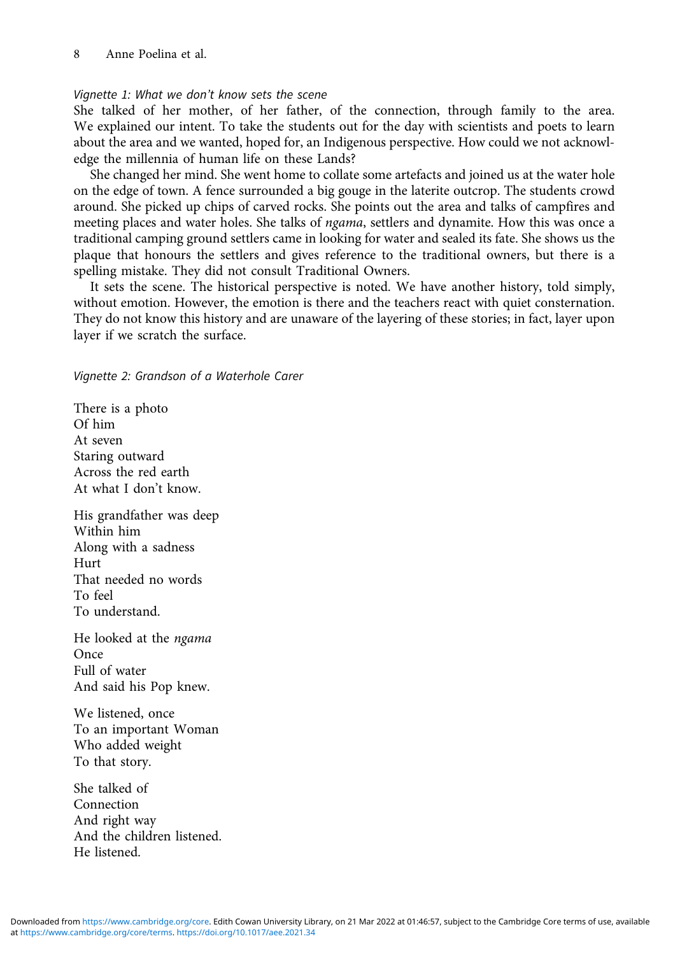### Vignette 1: What we don't know sets the scene

She talked of her mother, of her father, of the connection, through family to the area. We explained our intent. To take the students out for the day with scientists and poets to learn about the area and we wanted, hoped for, an Indigenous perspective. How could we not acknowledge the millennia of human life on these Lands?

She changed her mind. She went home to collate some artefacts and joined us at the water hole on the edge of town. A fence surrounded a big gouge in the laterite outcrop. The students crowd around. She picked up chips of carved rocks. She points out the area and talks of campfires and meeting places and water holes. She talks of ngama, settlers and dynamite. How this was once a traditional camping ground settlers came in looking for water and sealed its fate. She shows us the plaque that honours the settlers and gives reference to the traditional owners, but there is a spelling mistake. They did not consult Traditional Owners.

It sets the scene. The historical perspective is noted. We have another history, told simply, without emotion. However, the emotion is there and the teachers react with quiet consternation. They do not know this history and are unaware of the layering of these stories; in fact, layer upon layer if we scratch the surface.

Vignette 2: Grandson of a Waterhole Carer

There is a photo Of him At seven Staring outward Across the red earth At what I don't know.

His grandfather was deep Within him Along with a sadness Hurt That needed no words To feel To understand.

He looked at the ngama Once Full of water And said his Pop knew.

We listened, once To an important Woman Who added weight To that story.

She talked of Connection And right way And the children listened. He listened.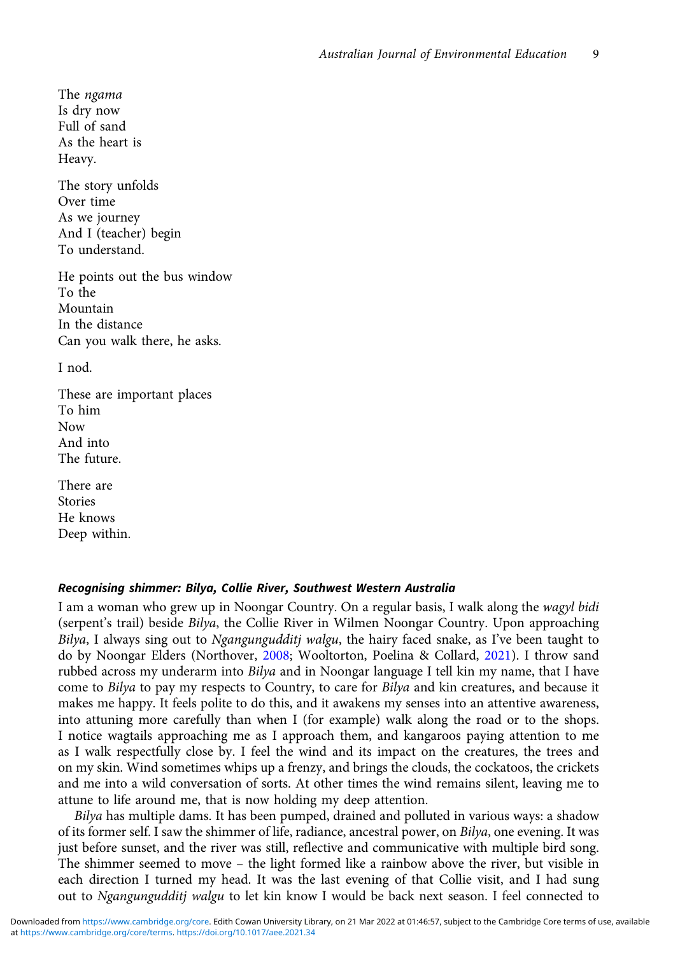The ngama Is dry now Full of sand As the heart is Heavy.

The story unfolds Over time As we journey And I (teacher) begin To understand.

He points out the bus window To the Mountain In the distance Can you walk there, he asks.

I nod.

These are important places To him Now And into The future.

There are Stories He knows Deep within.

### Recognising shimmer: Bilya, Collie River, Southwest Western Australia

I am a woman who grew up in Noongar Country. On a regular basis, I walk along the wagyl bidi (serpent's trail) beside Bilya, the Collie River in Wilmen Noongar Country. Upon approaching Bilya, I always sing out to Ngangungudditj walgu, the hairy faced snake, as I've been taught to do by Noongar Elders (Northover, [2008](#page-17-0); Wooltorton, Poelina & Collard, [2021\)](#page-18-0). I throw sand rubbed across my underarm into Bilya and in Noongar language I tell kin my name, that I have come to Bilya to pay my respects to Country, to care for Bilya and kin creatures, and because it makes me happy. It feels polite to do this, and it awakens my senses into an attentive awareness, into attuning more carefully than when I (for example) walk along the road or to the shops. I notice wagtails approaching me as I approach them, and kangaroos paying attention to me as I walk respectfully close by. I feel the wind and its impact on the creatures, the trees and on my skin. Wind sometimes whips up a frenzy, and brings the clouds, the cockatoos, the crickets and me into a wild conversation of sorts. At other times the wind remains silent, leaving me to attune to life around me, that is now holding my deep attention.

Bilya has multiple dams. It has been pumped, drained and polluted in various ways: a shadow of its former self. I saw the shimmer of life, radiance, ancestral power, on Bilya, one evening. It was just before sunset, and the river was still, reflective and communicative with multiple bird song. The shimmer seemed to move – the light formed like a rainbow above the river, but visible in each direction I turned my head. It was the last evening of that Collie visit, and I had sung out to Ngangungudditj walgu to let kin know I would be back next season. I feel connected to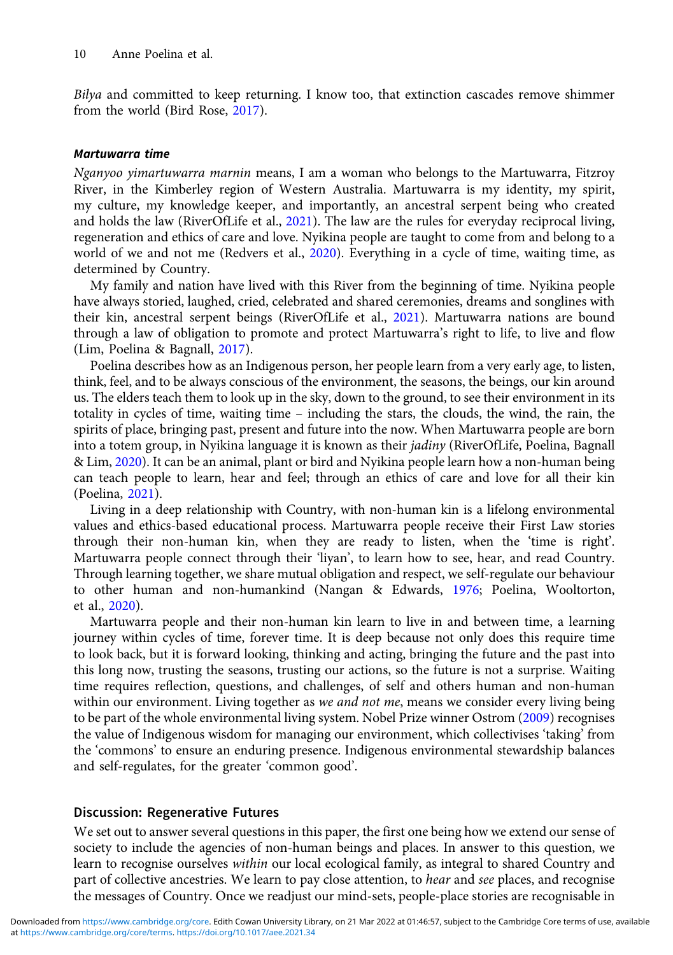Bilya and committed to keep returning. I know too, that extinction cascades remove shimmer from the world (Bird Rose, [2017](#page-16-0)).

#### Martuwarra time

Nganyoo yimartuwarra marnin means, I am a woman who belongs to the Martuwarra, Fitzroy River, in the Kimberley region of Western Australia. Martuwarra is my identity, my spirit, my culture, my knowledge keeper, and importantly, an ancestral serpent being who created and holds the law (RiverOfLife et al., [2021](#page-17-0)). The law are the rules for everyday reciprocal living, regeneration and ethics of care and love. Nyikina people are taught to come from and belong to a world of we and not me (Redvers et al., [2020\)](#page-17-0). Everything in a cycle of time, waiting time, as determined by Country.

My family and nation have lived with this River from the beginning of time. Nyikina people have always storied, laughed, cried, celebrated and shared ceremonies, dreams and songlines with their kin, ancestral serpent beings (RiverOfLife et al., [2021\)](#page-17-0). Martuwarra nations are bound through a law of obligation to promote and protect Martuwarra's right to life, to live and flow (Lim, Poelina & Bagnall, [2017\)](#page-17-0).

Poelina describes how as an Indigenous person, her people learn from a very early age, to listen, think, feel, and to be always conscious of the environment, the seasons, the beings, our kin around us. The elders teach them to look up in the sky, down to the ground, to see their environment in its totality in cycles of time, waiting time – including the stars, the clouds, the wind, the rain, the spirits of place, bringing past, present and future into the now. When Martuwarra people are born into a totem group, in Nyikina language it is known as their jadiny (RiverOfLife, Poelina, Bagnall & Lim, [2020\)](#page-17-0). It can be an animal, plant or bird and Nyikina people learn how a non-human being can teach people to learn, hear and feel; through an ethics of care and love for all their kin (Poelina, [2021](#page-17-0)).

Living in a deep relationship with Country, with non-human kin is a lifelong environmental values and ethics-based educational process. Martuwarra people receive their First Law stories through their non-human kin, when they are ready to listen, when the 'time is right'. Martuwarra people connect through their 'liyan', to learn how to see, hear, and read Country. Through learning together, we share mutual obligation and respect, we self-regulate our behaviour to other human and non-humankind (Nangan & Edwards, [1976](#page-17-0); Poelina, Wooltorton, et al., [2020](#page-17-0)).

Martuwarra people and their non-human kin learn to live in and between time, a learning journey within cycles of time, forever time. It is deep because not only does this require time to look back, but it is forward looking, thinking and acting, bringing the future and the past into this long now, trusting the seasons, trusting our actions, so the future is not a surprise. Waiting time requires reflection, questions, and challenges, of self and others human and non-human within our environment. Living together as we and not me, means we consider every living being to be part of the whole environmental living system. Nobel Prize winner Ostrom [\(2009\)](#page-17-0) recognises the value of Indigenous wisdom for managing our environment, which collectivises 'taking' from the 'commons' to ensure an enduring presence. Indigenous environmental stewardship balances and self-regulates, for the greater 'common good'.

#### Discussion: Regenerative Futures

We set out to answer several questions in this paper, the first one being how we extend our sense of society to include the agencies of non-human beings and places. In answer to this question, we learn to recognise ourselves within our local ecological family, as integral to shared Country and part of collective ancestries. We learn to pay close attention, to *hear* and see places, and recognise the messages of Country. Once we readjust our mind-sets, people-place stories are recognisable in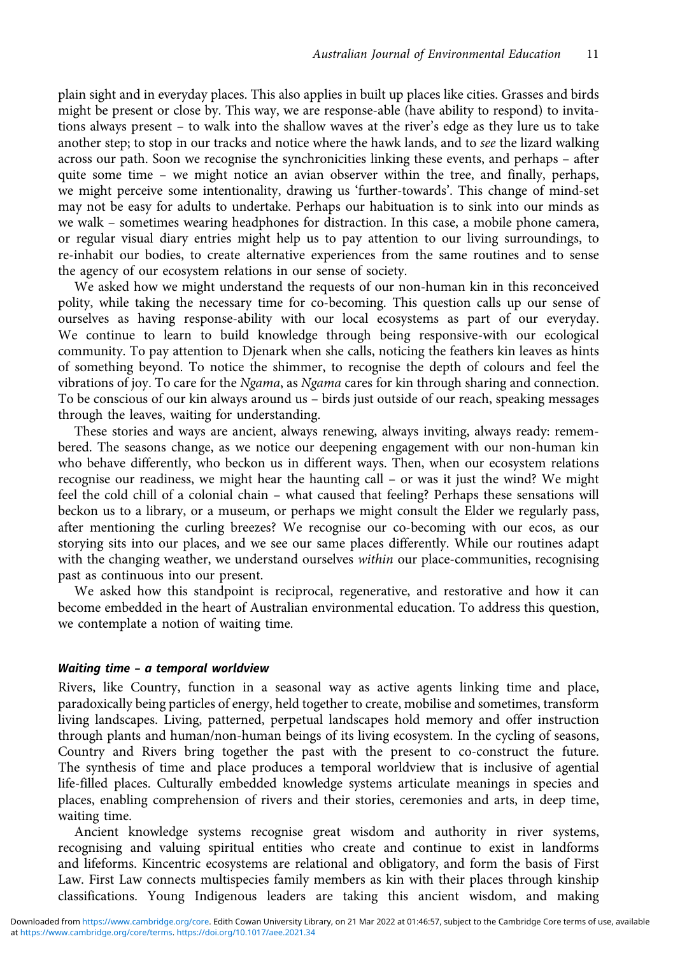plain sight and in everyday places. This also applies in built up places like cities. Grasses and birds might be present or close by. This way, we are response-able (have ability to respond) to invitations always present – to walk into the shallow waves at the river's edge as they lure us to take another step; to stop in our tracks and notice where the hawk lands, and to see the lizard walking across our path. Soon we recognise the synchronicities linking these events, and perhaps – after quite some time – we might notice an avian observer within the tree, and finally, perhaps, we might perceive some intentionality, drawing us 'further-towards'. This change of mind-set may not be easy for adults to undertake. Perhaps our habituation is to sink into our minds as we walk – sometimes wearing headphones for distraction. In this case, a mobile phone camera, or regular visual diary entries might help us to pay attention to our living surroundings, to re-inhabit our bodies, to create alternative experiences from the same routines and to sense the agency of our ecosystem relations in our sense of society.

We asked how we might understand the requests of our non-human kin in this reconceived polity, while taking the necessary time for co-becoming. This question calls up our sense of ourselves as having response-ability with our local ecosystems as part of our everyday. We continue to learn to build knowledge through being responsive-with our ecological community. To pay attention to Djenark when she calls, noticing the feathers kin leaves as hints of something beyond. To notice the shimmer, to recognise the depth of colours and feel the vibrations of joy. To care for the Ngama, as Ngama cares for kin through sharing and connection. To be conscious of our kin always around us – birds just outside of our reach, speaking messages through the leaves, waiting for understanding.

These stories and ways are ancient, always renewing, always inviting, always ready: remembered. The seasons change, as we notice our deepening engagement with our non-human kin who behave differently, who beckon us in different ways. Then, when our ecosystem relations recognise our readiness, we might hear the haunting call – or was it just the wind? We might feel the cold chill of a colonial chain – what caused that feeling? Perhaps these sensations will beckon us to a library, or a museum, or perhaps we might consult the Elder we regularly pass, after mentioning the curling breezes? We recognise our co-becoming with our ecos, as our storying sits into our places, and we see our same places differently. While our routines adapt with the changing weather, we understand ourselves within our place-communities, recognising past as continuous into our present.

We asked how this standpoint is reciprocal, regenerative, and restorative and how it can become embedded in the heart of Australian environmental education. To address this question, we contemplate a notion of waiting time.

#### Waiting time – a temporal worldview

Rivers, like Country, function in a seasonal way as active agents linking time and place, paradoxically being particles of energy, held together to create, mobilise and sometimes, transform living landscapes. Living, patterned, perpetual landscapes hold memory and offer instruction through plants and human/non-human beings of its living ecosystem. In the cycling of seasons, Country and Rivers bring together the past with the present to co-construct the future. The synthesis of time and place produces a temporal worldview that is inclusive of agential life-filled places. Culturally embedded knowledge systems articulate meanings in species and places, enabling comprehension of rivers and their stories, ceremonies and arts, in deep time, waiting time.

Ancient knowledge systems recognise great wisdom and authority in river systems, recognising and valuing spiritual entities who create and continue to exist in landforms and lifeforms. Kincentric ecosystems are relational and obligatory, and form the basis of First Law. First Law connects multispecies family members as kin with their places through kinship classifications. Young Indigenous leaders are taking this ancient wisdom, and making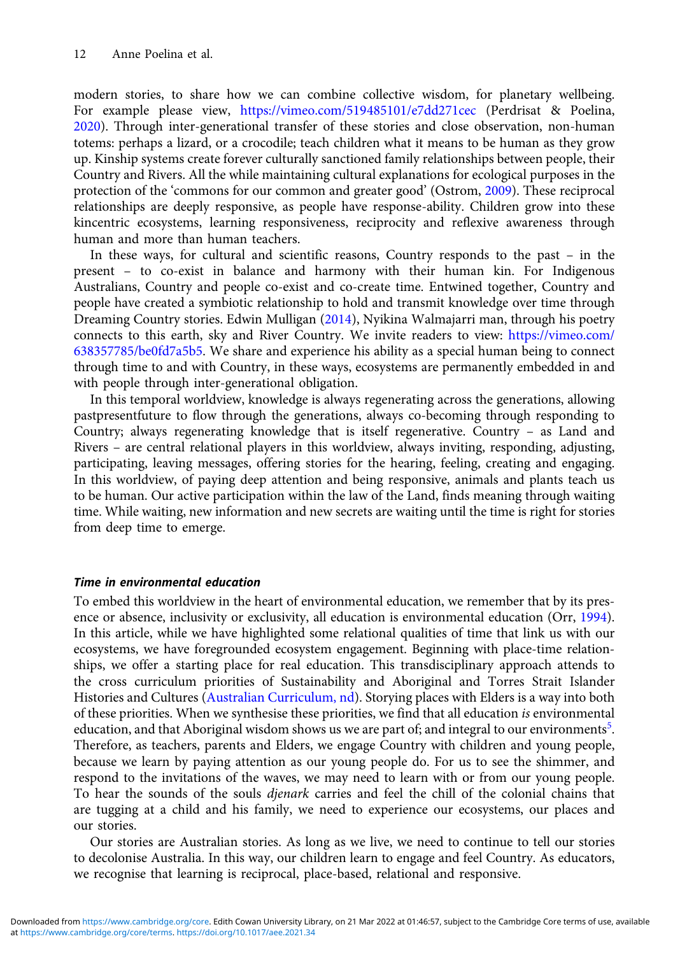modern stories, to share how we can combine collective wisdom, for planetary wellbeing. For example please view, <https://vimeo.com/519485101/e7dd271cec> (Perdrisat & Poelina, [2020\)](#page-17-0). Through inter-generational transfer of these stories and close observation, non-human totems: perhaps a lizard, or a crocodile; teach children what it means to be human as they grow up. Kinship systems create forever culturally sanctioned family relationships between people, their Country and Rivers. All the while maintaining cultural explanations for ecological purposes in the protection of the 'commons for our common and greater good' (Ostrom, [2009](#page-17-0)). These reciprocal relationships are deeply responsive, as people have response-ability. Children grow into these kincentric ecosystems, learning responsiveness, reciprocity and reflexive awareness through human and more than human teachers.

In these ways, for cultural and scientific reasons, Country responds to the past – in the present – to co-exist in balance and harmony with their human kin. For Indigenous Australians, Country and people co-exist and co-create time. Entwined together, Country and people have created a symbiotic relationship to hold and transmit knowledge over time through Dreaming Country stories. Edwin Mulligan [\(2014\)](#page-17-0), Nyikina Walmajarri man, through his poetry connects to this earth, sky and River Country. We invite readers to view: [https://vimeo.com/](https://vimeo.com/638357785/be0fd7a5b5) [638357785/be0fd7a5b5.](https://vimeo.com/638357785/be0fd7a5b5) We share and experience his ability as a special human being to connect through time to and with Country, in these ways, ecosystems are permanently embedded in and with people through inter-generational obligation.

In this temporal worldview, knowledge is always regenerating across the generations, allowing pastpresentfuture to flow through the generations, always co-becoming through responding to Country; always regenerating knowledge that is itself regenerative. Country – as Land and Rivers – are central relational players in this worldview, always inviting, responding, adjusting, participating, leaving messages, offering stories for the hearing, feeling, creating and engaging. In this worldview, of paying deep attention and being responsive, animals and plants teach us to be human. Our active participation within the law of the Land, finds meaning through waiting time. While waiting, new information and new secrets are waiting until the time is right for stories from deep time to emerge.

### Time in environmental education

To embed this worldview in the heart of environmental education, we remember that by its presence or absence, inclusivity or exclusivity, all education is environmental education (Orr, [1994\)](#page-17-0). In this article, while we have highlighted some relational qualities of time that link us with our ecosystems, we have foregrounded ecosystem engagement. Beginning with place-time relationships, we offer a starting place for real education. This transdisciplinary approach attends to the cross curriculum priorities of Sustainability and Aboriginal and Torres Strait Islander Histories and Cultures [\(Australian Curriculum, nd\)](#page-16-0). Storying places with Elders is a way into both of these priorities. When we synthesise these priorities, we find that all education is environmental education, and that Aboriginal wisdom shows us we are part of; and integral to our environments<sup>[5](#page-16-0)</sup>. Therefore, as teachers, parents and Elders, we engage Country with children and young people, because we learn by paying attention as our young people do. For us to see the shimmer, and respond to the invitations of the waves, we may need to learn with or from our young people. To hear the sounds of the souls djenark carries and feel the chill of the colonial chains that are tugging at a child and his family, we need to experience our ecosystems, our places and our stories.

Our stories are Australian stories. As long as we live, we need to continue to tell our stories to decolonise Australia. In this way, our children learn to engage and feel Country. As educators, we recognise that learning is reciprocal, place-based, relational and responsive.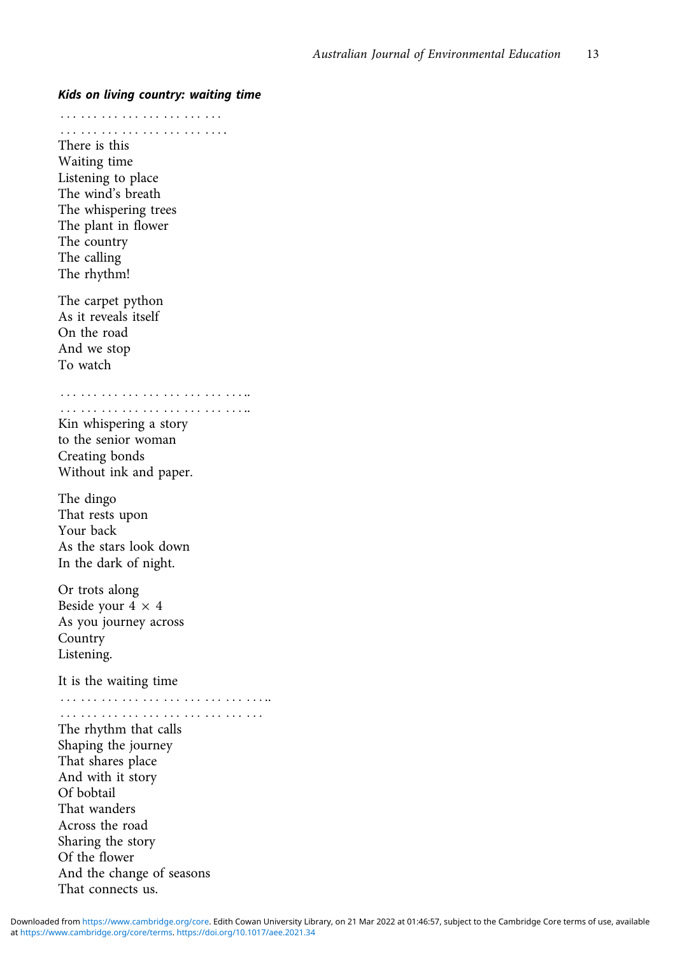::: ::: ::: ::: ::: ::: ::: ::: ::: ::: ::: ::: ::: ::: ::: ::: . There is this Waiting time Listening to place The wind's breath The whispering trees The plant in flower The country The calling The rhythm! The carpet python As it reveals itself On the road And we stop To watch ::: ::: ::: ::: ::: ::: ::: ::: ::: .. ::: ::: ::: ::: ::: ::: ::: ::: ::: .. Kin whispering a story to the senior woman Creating bonds Without ink and paper. The dingo That rests upon Your back As the stars look down In the dark of night. Or trots along Beside your  $4 \times 4$ As you journey across Country Listening. It is the waiting time ::: ::: ::: ::: ::: ::: ::: ::: ::: ::: .. ::: ::: ::: ::: ::: ::: ::: ::: ::: ::: The rhythm that calls Shaping the journey That shares place And with it story Of bobtail That wanders Across the road Sharing the story Of the flower And the change of seasons That connects us.

Kids on living country: waiting time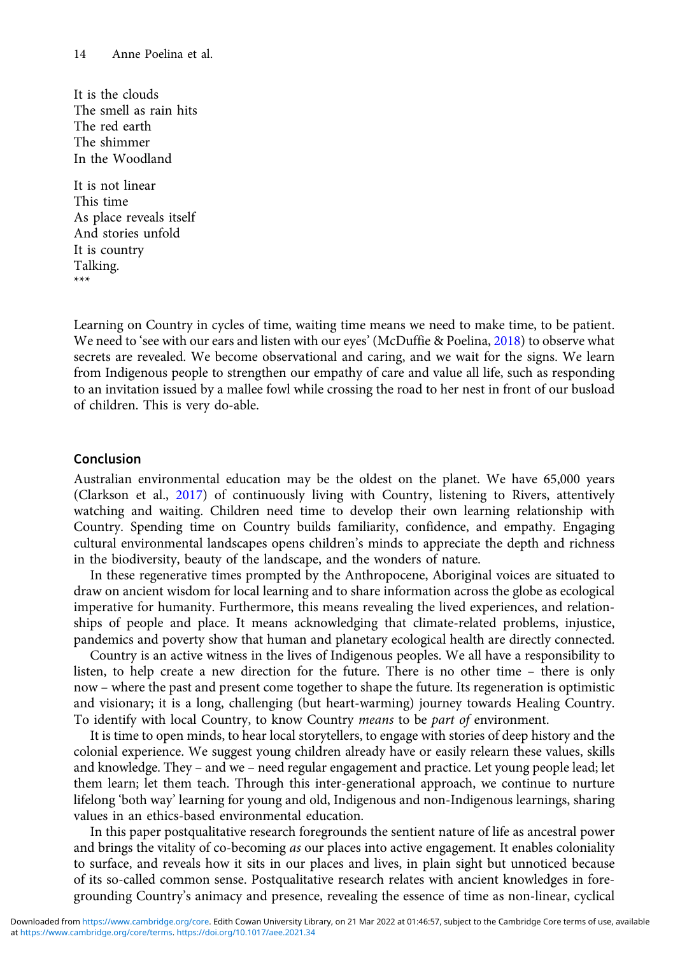It is the clouds The smell as rain hits The red earth The shimmer In the Woodland

It is not linear This time As place reveals itself And stories unfold It is country Talking. \*\*\*

Learning on Country in cycles of time, waiting time means we need to make time, to be patient. We need to 'see with our ears and listen with our eyes' (McDuffie & Poelina, [2018\)](#page-17-0) to observe what secrets are revealed. We become observational and caring, and we wait for the signs. We learn from Indigenous people to strengthen our empathy of care and value all life, such as responding to an invitation issued by a mallee fowl while crossing the road to her nest in front of our busload of children. This is very do-able.

## Conclusion

Australian environmental education may be the oldest on the planet. We have 65,000 years (Clarkson et al., [2017\)](#page-16-0) of continuously living with Country, listening to Rivers, attentively watching and waiting. Children need time to develop their own learning relationship with Country. Spending time on Country builds familiarity, confidence, and empathy. Engaging cultural environmental landscapes opens children's minds to appreciate the depth and richness in the biodiversity, beauty of the landscape, and the wonders of nature.

In these regenerative times prompted by the Anthropocene, Aboriginal voices are situated to draw on ancient wisdom for local learning and to share information across the globe as ecological imperative for humanity. Furthermore, this means revealing the lived experiences, and relationships of people and place. It means acknowledging that climate-related problems, injustice, pandemics and poverty show that human and planetary ecological health are directly connected.

Country is an active witness in the lives of Indigenous peoples. We all have a responsibility to listen, to help create a new direction for the future. There is no other time – there is only now – where the past and present come together to shape the future. Its regeneration is optimistic and visionary; it is a long, challenging (but heart-warming) journey towards Healing Country. To identify with local Country, to know Country means to be part of environment.

It is time to open minds, to hear local storytellers, to engage with stories of deep history and the colonial experience. We suggest young children already have or easily relearn these values, skills and knowledge. They – and we – need regular engagement and practice. Let young people lead; let them learn; let them teach. Through this inter-generational approach, we continue to nurture lifelong 'both way' learning for young and old, Indigenous and non-Indigenous learnings, sharing values in an ethics-based environmental education.

In this paper postqualitative research foregrounds the sentient nature of life as ancestral power and brings the vitality of co-becoming *as* our places into active engagement. It enables coloniality to surface, and reveals how it sits in our places and lives, in plain sight but unnoticed because of its so-called common sense. Postqualitative research relates with ancient knowledges in foregrounding Country's animacy and presence, revealing the essence of time as non-linear, cyclical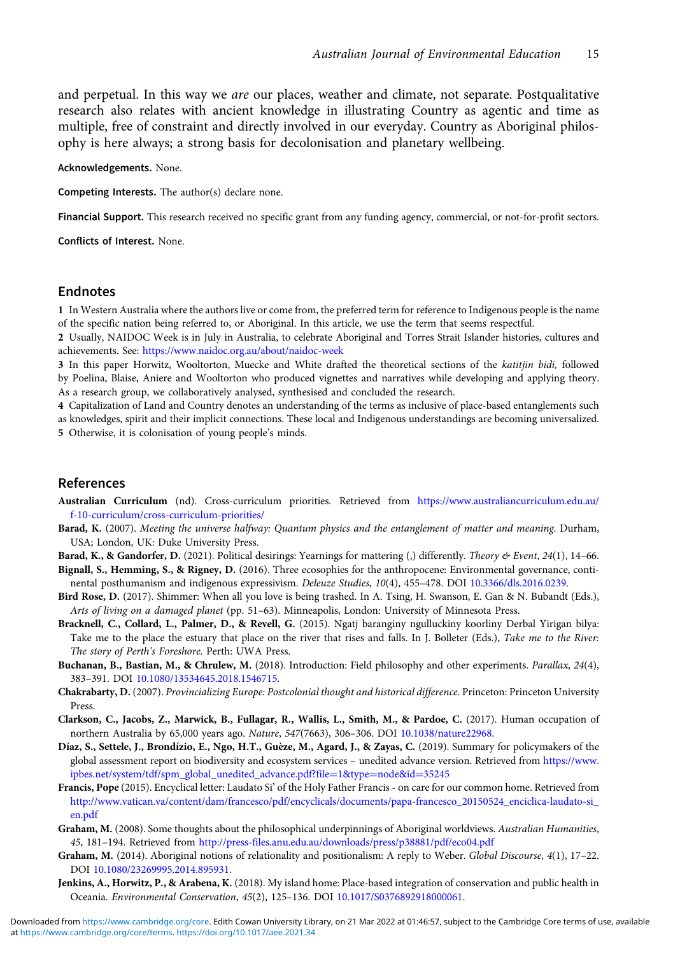<span id="page-16-0"></span>and perpetual. In this way we *are* our places, weather and climate, not separate. Postqualitative research also relates with ancient knowledge in illustrating Country as agentic and time as multiple, free of constraint and directly involved in our everyday. Country as Aboriginal philosophy is here always; a strong basis for decolonisation and planetary wellbeing.

#### Acknowledgements. None.

Competing Interests. The author(s) declare none.

Financial Support. This research received no specific grant from any funding agency, commercial, or not-for-profit sectors.

Conflicts of Interest. None.

### Endnotes

1 In Western Australia where the authors live or come from, the preferred term for reference to Indigenous people is the name of the specific nation being referred to, or Aboriginal. In this article, we use the term that seems respectful.

2 Usually, NAIDOC Week is in July in Australia, to celebrate Aboriginal and Torres Strait Islander histories, cultures and achievements. See: <https://www.naidoc.org.au/about/naidoc-week>

3 In this paper Horwitz, Wooltorton, Muecke and White drafted the theoretical sections of the katitjin bidi, followed by Poelina, Blaise, Aniere and Wooltorton who produced vignettes and narratives while developing and applying theory. As a research group, we collaboratively analysed, synthesised and concluded the research.

4 Capitalization of Land and Country denotes an understanding of the terms as inclusive of place-based entanglements such as knowledges, spirit and their implicit connections. These local and Indigenous understandings are becoming universalized. 5 Otherwise, it is colonisation of young people's minds.

#### References

- Australian Curriculum (nd). Cross-curriculum priorities. Retrieved from [https://www.australiancurriculum.edu.au/](https://www.australiancurriculum.edu.au/f-10-curriculum/cross-curriculum-priorities/) [f-10-curriculum/cross-curriculum-priorities/](https://www.australiancurriculum.edu.au/f-10-curriculum/cross-curriculum-priorities/)
- Barad, K. (2007). Meeting the universe halfway: Quantum physics and the entanglement of matter and meaning. Durham, USA; London, UK: Duke University Press.

Barad, K., & Gandorfer, D. (2021). Political desirings: Yearnings for mattering (,) differently. Theory & Event, 24(1), 14-66.

- Bignall, S., Hemming, S., & Rigney, D. (2016). Three ecosophies for the anthropocene: Environmental governance, continental posthumanism and indigenous expressivism. Deleuze Studies, 10(4), 455–478. DOI [10.3366/dls.2016.0239.](https://doi.org/10.3366/dls.2016.0239)
- Bird Rose, D. (2017). Shimmer: When all you love is being trashed. In A. Tsing, H. Swanson, E. Gan & N. Bubandt (Eds.), Arts of living on a damaged planet (pp. 51–63). Minneapolis, London: University of Minnesota Press.
- Bracknell, C., Collard, L., Palmer, D., & Revell, G. (2015). Ngatj baranginy ngulluckiny koorliny Derbal Yirigan bilya: Take me to the place the estuary that place on the river that rises and falls. In J. Bolleter (Eds.), Take me to the River: The story of Perth's Foreshore. Perth: UWA Press.
- Buchanan, B., Bastian, M., & Chrulew, M. (2018). Introduction: Field philosophy and other experiments. Parallax, 24(4), 383–391. DOI [10.1080/13534645.2018.1546715](https://doi.org/10.1080/13534645.2018.1546715).
- Chakrabarty, D. (2007). Provincializing Europe: Postcolonial thought and historical difference. Princeton: Princeton University Press.
- Clarkson, C., Jacobs, Z., Marwick, B., Fullagar, R., Wallis, L., Smith, M., & Pardoe, C. (2017). Human occupation of northern Australia by 65,000 years ago. Nature, 547(7663), 306–306. DOI [10.1038/nature22968.](https://doi.org/10.1038/nature22968)
- Díaz, S., Settele, J., Brondízio, E., Ngo, H.T., Guèze, M., Agard, J., & Zayas, C. (2019). Summary for policymakers of the global assessment report on biodiversity and ecosystem services – unedited advance version. Retrieved from [https://www.](https://www.ipbes.net/system/tdf/spm_global_unedited_advance.pdf?file1&typenode&id35245) [ipbes.net/system/tdf/spm\\_global\\_unedited\\_advance.pdf?file](https://www.ipbes.net/system/tdf/spm_global_unedited_advance.pdf?file1&typenode&id35245)=[1&type](https://www.ipbes.net/system/tdf/spm_global_unedited_advance.pdf?file1&typenode&id35245)=[node&id](https://www.ipbes.net/system/tdf/spm_global_unedited_advance.pdf?file1&typenode&id35245)=[35245](https://www.ipbes.net/system/tdf/spm_global_unedited_advance.pdf?file1&typenode&id35245)
- Francis, Pope (2015). Encyclical letter: Laudato Si' of the Holy Father Francis on care for our common home. Retrieved from [http://www.vatican.va/content/dam/francesco/pdf/encyclicals/documents/papa-francesco\\_20150524\\_enciclica-laudato-si\\_](http://www.vatican.va/content/dam/francesco/pdf/encyclicals/documents/papa-francesco_20150524_enciclica-laudato-si_en.pdf) [en.pdf](http://www.vatican.va/content/dam/francesco/pdf/encyclicals/documents/papa-francesco_20150524_enciclica-laudato-si_en.pdf)
- Graham, M. (2008). Some thoughts about the philosophical underpinnings of Aboriginal worldviews. Australian Humanities, 45, 181–194. Retrieved from <http://press-files.anu.edu.au/downloads/press/p38881/pdf/eco04.pdf>
- Graham, M. (2014). Aboriginal notions of relationality and positionalism: A reply to Weber. Global Discourse, 4(1), 17–22. DOI [10.1080/23269995.2014.895931](https://doi.org/10.1080/23269995.2014.895931).
- Jenkins, A., Horwitz, P., & Arabena, K. (2018). My island home: Place-based integration of conservation and public health in Oceania. Environmental Conservation, 45(2), 125–136. DOI [10.1017/S0376892918000061](https://doi.org/10.1017/S0376892918000061).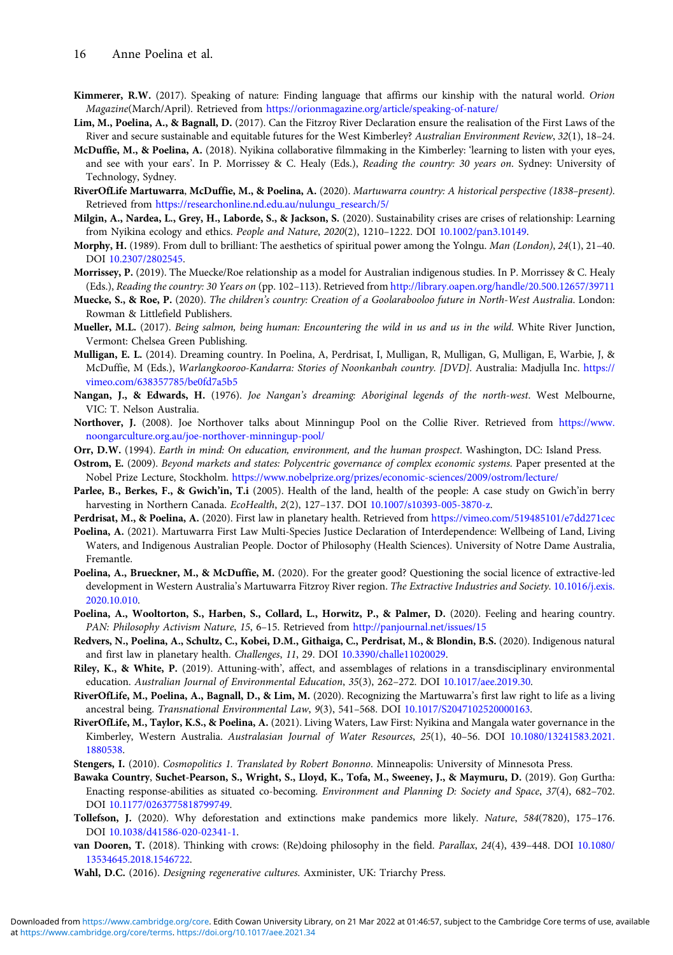- <span id="page-17-0"></span>Kimmerer, R.W. (2017). Speaking of nature: Finding language that affirms our kinship with the natural world. Orion Magazine(March/April). Retrieved from <https://orionmagazine.org/article/speaking-of-nature/>
- Lim, M., Poelina, A., & Bagnall, D. (2017). Can the Fitzroy River Declaration ensure the realisation of the First Laws of the River and secure sustainable and equitable futures for the West Kimberley? Australian Environment Review, 32(1), 18–24.
- McDuffie, M., & Poelina, A. (2018). Nyikina collaborative filmmaking in the Kimberley: 'learning to listen with your eyes, and see with your ears'. In P. Morrissey & C. Healy (Eds.), Reading the country: 30 years on. Sydney: University of Technology, Sydney.
- RiverOfLife Martuwarra, McDuffie, M., & Poelina, A. (2020). Martuwarra country: A historical perspective (1838–present). Retrieved from [https://researchonline.nd.edu.au/nulungu\\_research/5/](https://researchonline.nd.edu.au/nulungu_research/5/)
- Milgin, A., Nardea, L., Grey, H., Laborde, S., & Jackson, S. (2020). Sustainability crises are crises of relationship: Learning from Nyikina ecology and ethics. People and Nature, 2020(2), 1210–1222. DOI [10.1002/pan3.10149.](https://doi.org/10.1002/pan3.10149)
- Morphy, H. (1989). From dull to brilliant: The aesthetics of spiritual power among the Yolngu. Man (London), 24(1), 21-40. DOI [10.2307/2802545](https://doi.org/10.2307/2802545).
- Morrissey, P. (2019). The Muecke/Roe relationship as a model for Australian indigenous studies. In P. Morrissey & C. Healy (Eds.), Reading the country: 30 Years on (pp. 102–113). Retrieved from <http://library.oapen.org/handle/20.500.12657/39711>
- Muecke, S., & Roe, P. (2020). The children's country: Creation of a Goolarabooloo future in North-West Australia. London: Rowman & Littlefield Publishers.
- Mueller, M.L. (2017). Being salmon, being human: Encountering the wild in us and us in the wild. White River Junction, Vermont: Chelsea Green Publishing.
- Mulligan, E. L. (2014). Dreaming country. In Poelina, A, Perdrisat, I, Mulligan, R, Mulligan, G, Mulligan, E, Warbie, J, & McDuffie, M (Eds.), Warlangkooroo-Kandarra: Stories of Noonkanbah country. [DVD]. Australia: Madjulla Inc. [https://](https://vimeo.com/638357785/be0fd7a5b5) [vimeo.com/638357785/be0fd7a5b5](https://vimeo.com/638357785/be0fd7a5b5)
- Nangan, J., & Edwards, H. (1976). Joe Nangan's dreaming: Aboriginal legends of the north-west. West Melbourne, VIC: T. Nelson Australia.
- Northover, J. (2008). Joe Northover talks about Minningup Pool on the Collie River. Retrieved from [https://www.](https://www.noongarculture.org.au/joe-northover-minningup-pool/) [noongarculture.org.au/joe-northover-minningup-pool/](https://www.noongarculture.org.au/joe-northover-minningup-pool/)
- Orr, D.W. (1994). Earth in mind: On education, environment, and the human prospect. Washington, DC: Island Press.
- Ostrom, E. (2009). Beyond markets and states: Polycentric governance of complex economic systems. Paper presented at the Nobel Prize Lecture, Stockholm. <https://www.nobelprize.org/prizes/economic-sciences/2009/ostrom/lecture/>
- Parlee, B., Berkes, F., & Gwich'in, T.i (2005). Health of the land, health of the people: A case study on Gwich'in berry harvesting in Northern Canada. EcoHealth, 2(2), 127-137. DOI [10.1007/s10393-005-3870-z](https://doi.org/10.1007/s10393-005-3870-z).
- Perdrisat, M., & Poelina, A. (2020). First law in planetary health. Retrieved from <https://vimeo.com/519485101/e7dd271cec>
- Poelina, A. (2021). Martuwarra First Law Multi-Species Justice Declaration of Interdependence: Wellbeing of Land, Living Waters, and Indigenous Australian People. Doctor of Philosophy (Health Sciences). University of Notre Dame Australia, Fremantle.
- Poelina, A., Brueckner, M., & McDuffie, M. (2020). For the greater good? Questioning the social licence of extractive-led development in Western Australia's Martuwarra Fitzroy River region. The Extractive Industries and Society. [10.1016/j.exis.](https://doi.org/10.1016/j.exis.2020.10.010) [2020.10.010.](https://doi.org/10.1016/j.exis.2020.10.010)
- Poelina, A., Wooltorton, S., Harben, S., Collard, L., Horwitz, P., & Palmer, D. (2020). Feeling and hearing country. PAN: Philosophy Activism Nature, 15, 6–15. Retrieved from <http://panjournal.net/issues/15>
- Redvers, N., Poelina, A., Schultz, C., Kobei, D.M., Githaiga, C., Perdrisat, M., & Blondin, B.S. (2020). Indigenous natural and first law in planetary health. Challenges, 11, 29. DOI [10.3390/challe11020029.](https://doi.org/10.3390/challe11020029)
- Riley, K., & White, P. (2019). Attuning-with', affect, and assemblages of relations in a transdisciplinary environmental education. Australian Journal of Environmental Education, 35(3), 262-272. DOI [10.1017/aee.2019.30.](https://doi.org/10.1017/aee.2019.30)
- RiverOfLife, M., Poelina, A., Bagnall, D., & Lim, M. (2020). Recognizing the Martuwarra's first law right to life as a living ancestral being. Transnational Environmental Law, 9(3), 541–568. DOI [10.1017/S2047102520000163.](https://doi.org/10.1017/S2047102520000163)
- RiverOfLife, M., Taylor, K.S., & Poelina, A. (2021). Living Waters, Law First: Nyikina and Mangala water governance in the Kimberley, Western Australia. Australasian Journal of Water Resources, 25(1), 40-56. DOI [10.1080/13241583.2021.](https://doi.org/10.1080/13241583.2021.1880538) [1880538.](https://doi.org/10.1080/13241583.2021.1880538)
- Stengers, I. (2010). Cosmopolitics 1. Translated by Robert Bononno. Minneapolis: University of Minnesota Press.
- Bawaka Country, Suchet-Pearson, S., Wright, S., Lloyd, K., Tofa, M., Sweeney, J., & Maymuru, D. (2019). Goŋ Gurtha: Enacting response-abilities as situated co-becoming. Environment and Planning D: Society and Space, 37(4), 682–702. DOI [10.1177/0263775818799749](https://doi.org/10.1177/0263775818799749).
- Tollefson, J. (2020). Why deforestation and extinctions make pandemics more likely. Nature, 584(7820), 175–176. DOI [10.1038/d41586-020-02341-1](https://doi.org/10.1038/d41586-020-02341-1).
- van Dooren, T. (2018). Thinking with crows: (Re)doing philosophy in the field. Parallax, 24(4), 439-448. DOI [10.1080/](https://doi.org/10.1080/13534645.2018.1546722) [13534645.2018.1546722](https://doi.org/10.1080/13534645.2018.1546722).

Wahl, D.C. (2016). Designing regenerative cultures. Axminister, UK: Triarchy Press.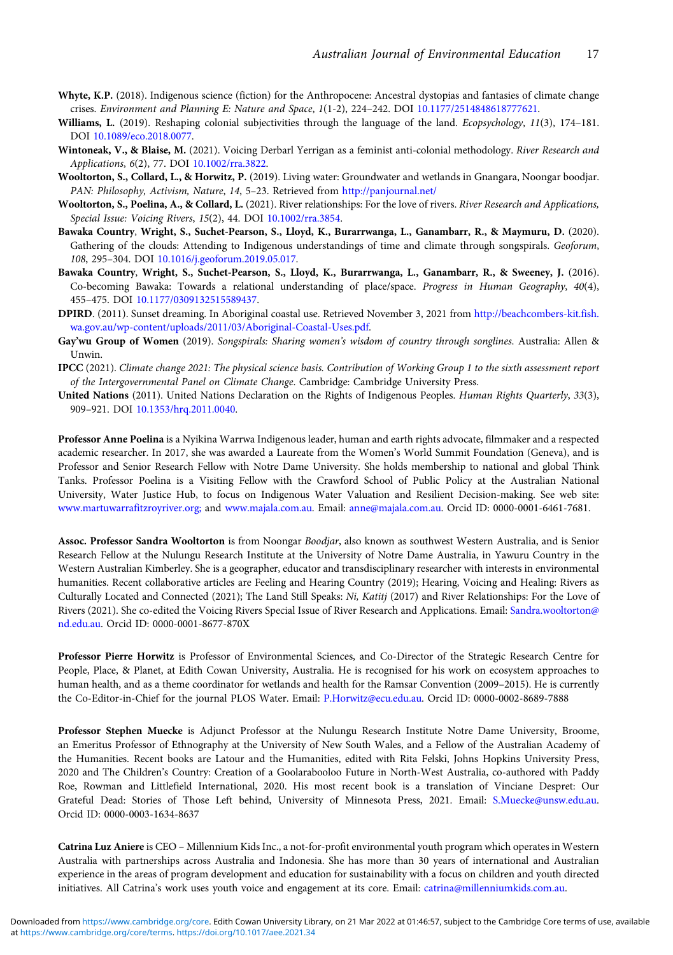- <span id="page-18-0"></span>Whyte, K.P. (2018). Indigenous science (fiction) for the Anthropocene: Ancestral dystopias and fantasies of climate change crises. Environment and Planning E: Nature and Space, 1(1-2), 224–242. DOI [10.1177/2514848618777621](https://doi.org/10.1177/2514848618777621).
- Williams, L. (2019). Reshaping colonial subjectivities through the language of the land. Ecopsychology, 11(3), 174-181. DOI [10.1089/eco.2018.0077](https://doi.org/10.1089/eco.2018.0077).
- Wintoneak, V., & Blaise, M. (2021). Voicing Derbarl Yerrigan as a feminist anti-colonial methodology. River Research and Applications, 6(2), 77. DOI [10.1002/rra.3822.](https://doi.org/10.1002/rra.3822)
- Wooltorton, S., Collard, L., & Horwitz, P. (2019). Living water: Groundwater and wetlands in Gnangara, Noongar boodjar. PAN: Philosophy, Activism, Nature, 14, 5–23. Retrieved from <http://panjournal.net/>
- Wooltorton, S., Poelina, A., & Collard, L. (2021). River relationships: For the love of rivers. River Research and Applications, Special Issue: Voicing Rivers, 15(2), 44. DOI [10.1002/rra.3854](https://doi.org/10.1002/rra.3854).
- Bawaka Country, Wright, S., Suchet-Pearson, S., Lloyd, K., Burarrwanga, L., Ganambarr, R., & Maymuru, D. (2020). Gathering of the clouds: Attending to Indigenous understandings of time and climate through songspirals. Geoforum, 108, 295–304. DOI [10.1016/j.geoforum.2019.05.017.](https://doi.org/10.1016/j.geoforum.2019.05.017)
- Bawaka Country, Wright, S., Suchet-Pearson, S., Lloyd, K., Burarrwanga, L., Ganambarr, R., & Sweeney, J. (2016). Co-becoming Bawaka: Towards a relational understanding of place/space. Progress in Human Geography, 40(4), 455–475. DOI [10.1177/0309132515589437](https://doi.org/10.1177/0309132515589437).
- DPIRD. (2011). Sunset dreaming. In Aboriginal coastal use. Retrieved November 3, 2021 from [http://beachcombers-kit.fish.](http://beachcombers-kit.fish.wa.gov.au/wp-content/uploads/2011/03/Aboriginal-Coastal-Uses.pdf) [wa.gov.au/wp-content/uploads/2011/03/Aboriginal-Coastal-Uses.pdf](http://beachcombers-kit.fish.wa.gov.au/wp-content/uploads/2011/03/Aboriginal-Coastal-Uses.pdf).
- Gay'wu Group of Women (2019). Songspirals: Sharing women's wisdom of country through songlines. Australia: Allen & Unwin.
- IPCC (2021). Climate change 2021: The physical science basis. Contribution of Working Group 1 to the sixth assessment report of the Intergovernmental Panel on Climate Change. Cambridge: Cambridge University Press.
- United Nations (2011). United Nations Declaration on the Rights of Indigenous Peoples. Human Rights Quarterly, 33(3), 909–921. DOI [10.1353/hrq.2011.0040](https://doi.org/10.1353/hrq.2011.0040).

Professor Anne Poelina is a Nyikina Warrwa Indigenous leader, human and earth rights advocate, filmmaker and a respected academic researcher. In 2017, she was awarded a Laureate from the Women's World Summit Foundation (Geneva), and is Professor and Senior Research Fellow with Notre Dame University. She holds membership to national and global Think Tanks. Professor Poelina is a Visiting Fellow with the Crawford School of Public Policy at the Australian National University, Water Justice Hub, to focus on Indigenous Water Valuation and Resilient Decision-making. See web site: [www.martuwarrafitzroyriver.org;](https://www.martuwarrafitzroyriver.org;) and [www.majala.com.au.](https://www.majala.com.au) Email: [anne@majala.com.au](mailto:anne@majala.com.au). Orcid ID: 0000-0001-6461-7681.

Assoc. Professor Sandra Wooltorton is from Noongar Boodjar, also known as southwest Western Australia, and is Senior Research Fellow at the Nulungu Research Institute at the University of Notre Dame Australia, in Yawuru Country in the Western Australian Kimberley. She is a geographer, educator and transdisciplinary researcher with interests in environmental humanities. Recent collaborative articles are Feeling and Hearing Country (2019); Hearing, Voicing and Healing: Rivers as Culturally Located and Connected (2021); The Land Still Speaks: Ni, Katitj (2017) and River Relationships: For the Love of Rivers (2021). She co-edited the Voicing Rivers Special Issue of River Research and Applications. Email: [Sandra.wooltorton@](mailto:Sandra.wooltorton@nd.edu.au) [nd.edu.au.](mailto:Sandra.wooltorton@nd.edu.au) Orcid ID: 0000-0001-8677-870X

Professor Pierre Horwitz is Professor of Environmental Sciences, and Co-Director of the Strategic Research Centre for People, Place, & Planet, at Edith Cowan University, Australia. He is recognised for his work on ecosystem approaches to human health, and as a theme coordinator for wetlands and health for the Ramsar Convention (2009–2015). He is currently the Co-Editor-in-Chief for the journal PLOS Water. Email: [P.Horwitz@ecu.edu.au](mailto:P.Horwitz@ecu.edu.au). Orcid ID: 0000-0002-8689-7888

Professor Stephen Muecke is Adjunct Professor at the Nulungu Research Institute Notre Dame University, Broome, an Emeritus Professor of Ethnography at the University of New South Wales, and a Fellow of the Australian Academy of the Humanities. Recent books are Latour and the Humanities, edited with Rita Felski, Johns Hopkins University Press, 2020 and The Children's Country: Creation of a Goolarabooloo Future in North-West Australia, co-authored with Paddy Roe, Rowman and Littlefield International, 2020. His most recent book is a translation of Vinciane Despret: Our Grateful Dead: Stories of Those Left behind, University of Minnesota Press, 2021. Email: [S.Muecke@unsw.edu.au](mailto:S.Muecke@unsw.edu.au). Orcid ID: 0000-0003-1634-8637

Catrina Luz Aniere is CEO – Millennium Kids Inc., a not-for-profit environmental youth program which operates in Western Australia with partnerships across Australia and Indonesia. She has more than 30 years of international and Australian experience in the areas of program development and education for sustainability with a focus on children and youth directed initiatives. All Catrina's work uses youth voice and engagement at its core. Email: [catrina@millenniumkids.com.au](mailto:catrina@millenniumkids.com.au).